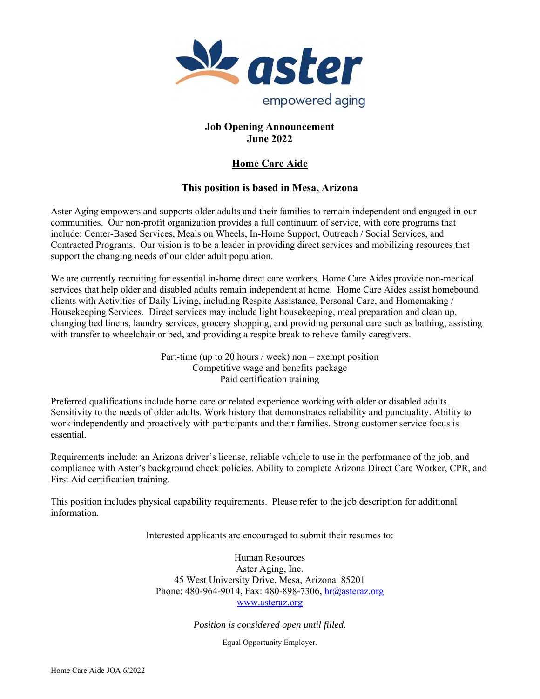

## **Job Opening Announcement June 2022**

# **Home Care Aide**

# **This position is based in Mesa, Arizona**

Aster Aging empowers and supports older adults and their families to remain independent and engaged in our communities. Our non-profit organization provides a full continuum of service, with core programs that include: Center-Based Services, Meals on Wheels, In-Home Support, Outreach / Social Services, and Contracted Programs. Our vision is to be a leader in providing direct services and mobilizing resources that support the changing needs of our older adult population.

We are currently recruiting for essential in-home direct care workers. Home Care Aides provide non-medical services that help older and disabled adults remain independent at home. Home Care Aides assist homebound clients with Activities of Daily Living, including Respite Assistance, Personal Care, and Homemaking / Housekeeping Services. Direct services may include light housekeeping, meal preparation and clean up, changing bed linens, laundry services, grocery shopping, and providing personal care such as bathing, assisting with transfer to wheelchair or bed, and providing a respite break to relieve family caregivers.

> Part-time (up to 20 hours / week) non – exempt position Competitive wage and benefits package Paid certification training

Preferred qualifications include home care or related experience working with older or disabled adults. Sensitivity to the needs of older adults. Work history that demonstrates reliability and punctuality. Ability to work independently and proactively with participants and their families. Strong customer service focus is essential.

Requirements include: an Arizona driver's license, reliable vehicle to use in the performance of the job, and compliance with Aster's background check policies. Ability to complete Arizona Direct Care Worker, CPR, and First Aid certification training.

This position includes physical capability requirements. Please refer to the job description for additional information.

Interested applicants are encouraged to submit their resumes to:

Human Resources Aster Aging, Inc. 45 West University Drive, Mesa, Arizona 85201 Phone: 480-964-9014, Fax: 480-898-7306,  $hr@$  asteraz.org www.asteraz.org

*Position is considered open until filled.*

Equal Opportunity Employer.